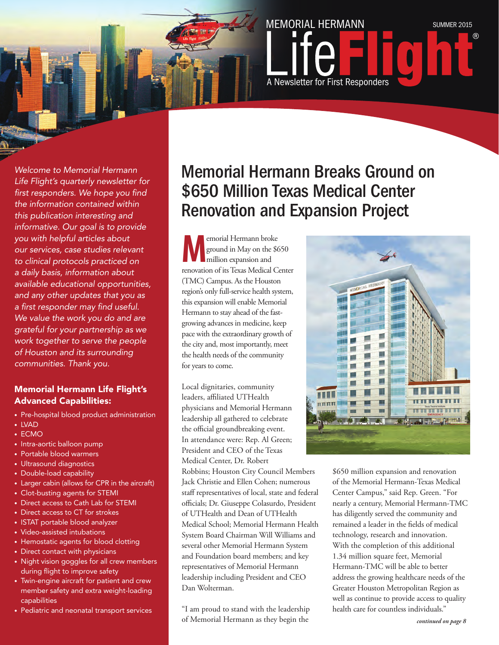

*Welcome to Memorial Hermann Life Flight's quarterly newsletter for first responders. We hope you find the information contained within this publication interesting and informative. Our goal is to provide you with helpful articles about our services, case studies relevant to clinical protocols practiced on a daily basis, information about available educational opportunities, and any other updates that you as a first responder may find useful. We value the work you do and are grateful for your partnership as we work together to serve the people of Houston and its surrounding communities. Thank you.* 

#### Memorial Hermann Life Flight's Advanced Capabilities:

- Pre-hospital blood product administration
- LVAD
- ECMO
- Intra-aortic balloon pump
- Portable blood warmers
- Ultrasound diagnostics
- Double-load capability
- Larger cabin (allows for CPR in the aircraft)
- Clot-busting agents for STEMI
- Direct access to Cath Lab for STEMI
- Direct access to CT for strokes
- ISTAT portable blood analyzer
- Video-assisted intubations
- Hemostatic agents for blood clotting
- Direct contact with physicians
- Night vision goggles for all crew members during flight to improve safety
- Twin-engine aircraft for patient and crew member safety and extra weight-loading capabilities
- Pediatric and neonatal transport services

### Memorial Hermann Breaks Ground on \$650 Million Texas Medical Center Renovation and Expansion Project

**Memorial Hermann broke**<br>
ground in May on the \$6<br>
million expansion and<br>
renewition of its Tayes Medical G ground in May on the \$650 million expansion and renovation of its Texas Medical Center (TMC) Campus. As the Houston region's only full-service health system, this expansion will enable Memorial Hermann to stay ahead of the fastgrowing advances in medicine, keep pace with the extraordinary growth of the city and, most importantly, meet the health needs of the community for years to come.

Local dignitaries, community leaders, affiliated UTHealth physicians and Memorial Hermann leadership all gathered to celebrate the official groundbreaking event. In attendance were: Rep. Al Green; President and CEO of the Texas Medical Center, Dr. Robert

Robbins; Houston City Council Members Jack Christie and Ellen Cohen; numerous staff representatives of local, state and federal officials; Dr. Giuseppe Colasurdo, President of UTHealth and Dean of UTHealth Medical School; Memorial Hermann Health System Board Chairman Will Williams and several other Memorial Hermann System and Foundation board members; and key representatives of Memorial Hermann leadership including President and CEO Dan Wolterman.

"I am proud to stand with the leadership of Memorial Hermann as they begin the



\$650 million expansion and renovation of the Memorial Hermann-Texas Medical Center Campus," said Rep. Green. "For nearly a century, Memorial Hermann-TMC has diligently served the community and remained a leader in the fields of medical technology, research and innovation. With the completion of this additional 1.34 million square feet, Memorial Hermann-TMC will be able to better address the growing healthcare needs of the Greater Houston Metropolitan Region as well as continue to provide access to quality health care for countless individuals."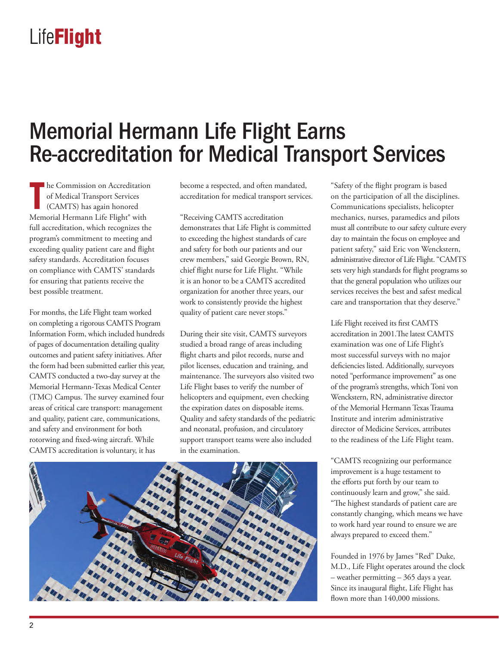### Memorial Hermann Life Flight Earns Re-accreditation for Medical Transport Services

**The Commission on Accreditation**<br>
of Medical Transport Services<br>
(CAMTS) has again honored<br>
Memorial Hermann Life Flight® with he Commission on Accreditation of Medical Transport Services (CAMTS) has again honored full accreditation, which recognizes the program's commitment to meeting and exceeding quality patient care and flight safety standards. Accreditation focuses on compliance with CAMTS' standards for ensuring that patients receive the best possible treatment.

For months, the Life Flight team worked on completing a rigorous CAMTS Program Information Form, which included hundreds of pages of documentation detailing quality outcomes and patient safety initiatives. After the form had been submitted earlier this year, CAMTS conducted a two-day survey at the Memorial Hermann-Texas Medical Center (TMC) Campus. The survey examined four areas of critical care transport: management and quality, patient care, communications, and safety and environment for both rotorwing and fixed-wing aircraft. While CAMTS accreditation is voluntary, it has

become a respected, and often mandated, accreditation for medical transport services.

"Receiving CAMTS accreditation demonstrates that Life Flight is committed to exceeding the highest standards of care and safety for both our patients and our crew members," said Georgie Brown, RN, chief flight nurse for Life Flight. "While it is an honor to be a CAMTS accredited organization for another three years, our work to consistently provide the highest quality of patient care never stops."

During their site visit, CAMTS surveyors studied a broad range of areas including flight charts and pilot records, nurse and pilot licenses, education and training, and maintenance. The surveyors also visited two Life Flight bases to verify the number of helicopters and equipment, even checking the expiration dates on disposable items. Quality and safety standards of the pediatric and neonatal, profusion, and circulatory support transport teams were also included in the examination.

"Safety of the flight program is based on the participation of all the disciplines. Communications specialists, helicopter mechanics, nurses, paramedics and pilots must all contribute to our safety culture every day to maintain the focus on employee and patient safety," said Eric von Wenckstern, administrative director of Life Flight. "CAMTS sets very high standards for flight programs so that the general population who utilizes our services receives the best and safest medical care and transportation that they deserve."

Life Flight received its first CAMTS accreditation in 2001.The latest CAMTS examination was one of Life Flight's most successful surveys with no major deficiencies listed. Additionally, surveyors noted "performance improvement" as one of the program's strengths, which Toni von Wenckstern, RN, administrative director of the Memorial Hermann Texas Trauma Institute and interim administrative director of Medicine Services, attributes to the readiness of the Life Flight team.

"CAMTS recognizing our performance improvement is a huge testament to the efforts put forth by our team to continuously learn and grow," she said. "The highest standards of patient care are constantly changing, which means we have to work hard year round to ensure we are always prepared to exceed them."

Founded in 1976 by James "Red" Duke, M.D., Life Flight operates around the clock – weather permitting – 365 days a year. Since its inaugural flight, Life Flight has flown more than 140,000 missions.

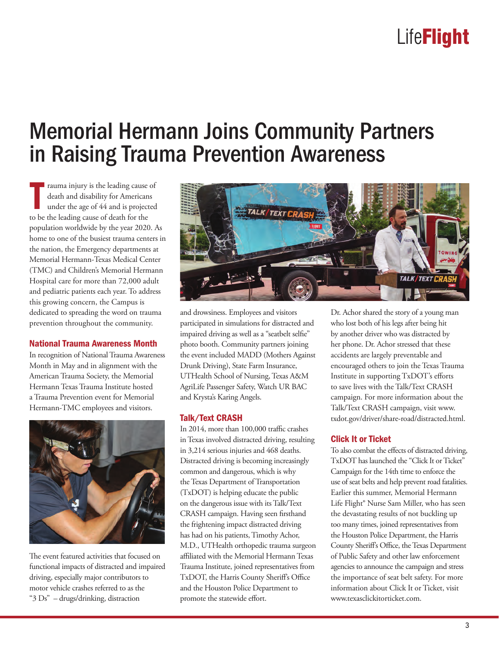### Memorial Hermann Joins Community Partners in Raising Trauma Prevention Awareness

The transmale injury is the leading cause<br>
death and disability for American<br>
under the age of 44 and is project<br>
to be the leading cause of death for the rauma injury is the leading cause of death and disability for Americans under the age of 44 and is projected population worldwide by the year 2020. As home to one of the busiest trauma centers in the nation, the Emergency departments at Memorial Hermann-Texas Medical Center (TMC) and Children's Memorial Hermann Hospital care for more than 72,000 adult and pediatric patients each year. To address this growing concern, the Campus is dedicated to spreading the word on trauma prevention throughout the community.

#### National Trauma Awareness Month

In recognition of National Trauma Awareness Month in May and in alignment with the American Trauma Society, the Memorial Hermann Texas Trauma Institute hosted a Trauma Prevention event for Memorial Hermann-TMC employees and visitors.



The event featured activities that focused on functional impacts of distracted and impaired driving, especially major contributors to motor vehicle crashes referred to as the "3 Ds" – drugs/drinking, distraction



and drowsiness. Employees and visitors participated in simulations for distracted and impaired driving as well as a "seatbelt selfie" photo booth. Community partners joining the event included MADD (Mothers Against Drunk Driving), State Farm Insurance, UTHealth School of Nursing, Texas A&M AgriLife Passenger Safety, Watch UR BAC and Krysta's Karing Angels.

#### Talk/Text CRASH

In 2014, more than 100,000 traffic crashes in Texas involved distracted driving, resulting in 3,214 serious injuries and 468 deaths. Distracted driving is becoming increasingly common and dangerous, which is why the Texas Department of Transportation (TxDOT) is helping educate the public on the dangerous issue with its Talk/Text CRASH campaign. Having seen firsthand the frightening impact distracted driving has had on his patients, Timothy Achor, M.D., UTHealth orthopedic trauma surgeon affiliated with the Memorial Hermann Texas Trauma Institute, joined representatives from TxDOT, the Harris County Sheriff's Office and the Houston Police Department to promote the statewide effort.

Dr. Achor shared the story of a young man who lost both of his legs after being hit by another driver who was distracted by her phone. Dr. Achor stressed that these accidents are largely preventable and encouraged others to join the Texas Trauma Institute in supporting TxDOT's efforts to save lives with the Talk/Text CRASH campaign. For more information about the Talk/Text CRASH campaign, visit www. txdot.gov/driver/share-road/distracted.html.

#### Click It or Ticket

To also combat the effects of distracted driving, TxDOT has launched the "Click It or Ticket" Campaign for the 14th time to enforce the use of seat belts and help prevent road fatalities. Earlier this summer, Memorial Hermann Life Flight® Nurse Sam Miller, who has seen the devastating results of not buckling up too many times, joined representatives from the Houston Police Department, the Harris County Sheriff's Office, the Texas Department of Public Safety and other law enforcement agencies to announce the campaign and stress the importance of seat belt safety. For more information about Click It or Ticket, visit www.texasclickitorticket.com.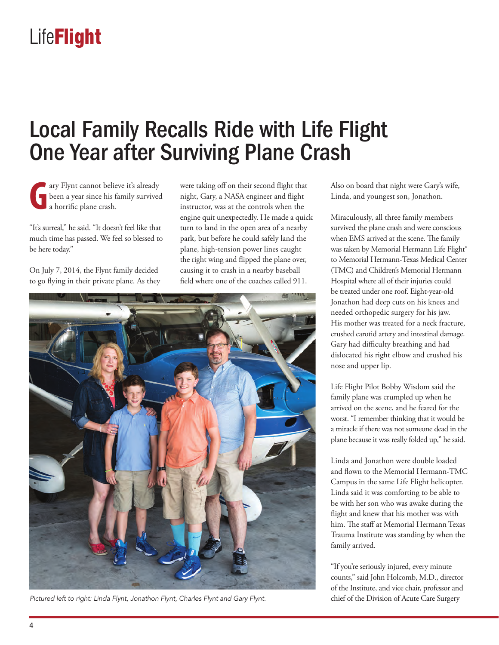### Local Family Recalls Ride with Life Flight One Year after Surviving Plane Crash

**G** ary Flynt cannot believe it's already been a year since his family survived a horrific plane crash.

"It's surreal," he said. "It doesn't feel like that much time has passed. We feel so blessed to be here today."

On July 7, 2014, the Flynt family decided to go flying in their private plane. As they were taking off on their second flight that night, Gary, a NASA engineer and flight instructor, was at the controls when the engine quit unexpectedly. He made a quick turn to land in the open area of a nearby park, but before he could safely land the plane, high-tension power lines caught the right wing and flipped the plane over, causing it to crash in a nearby baseball field where one of the coaches called 911.



*Pictured left to right: Linda Flynt, Jonathon Flynt, Charles Flynt and Gary Flynt.*

Also on board that night were Gary's wife, Linda, and youngest son, Jonathon.

Miraculously, all three family members survived the plane crash and were conscious when EMS arrived at the scene. The family was taken by Memorial Hermann Life Flight® to Memorial Hermann-Texas Medical Center (TMC) and Children's Memorial Hermann Hospital where all of their injuries could be treated under one roof. Eight-year-old Jonathon had deep cuts on his knees and needed orthopedic surgery for his jaw. His mother was treated for a neck fracture, crushed carotid artery and intestinal damage. Gary had difficulty breathing and had dislocated his right elbow and crushed his nose and upper lip.

Life Flight Pilot Bobby Wisdom said the family plane was crumpled up when he arrived on the scene, and he feared for the worst. "I remember thinking that it would be a miracle if there was not someone dead in the plane because it was really folded up," he said.

Linda and Jonathon were double loaded and flown to the Memorial Hermann-TMC Campus in the same Life Flight helicopter. Linda said it was comforting to be able to be with her son who was awake during the flight and knew that his mother was with him. The staff at Memorial Hermann Texas Trauma Institute was standing by when the family arrived.

"If you're seriously injured, every minute counts," said John Holcomb, M.D., director of the Institute, and vice chair, professor and chief of the Division of Acute Care Surgery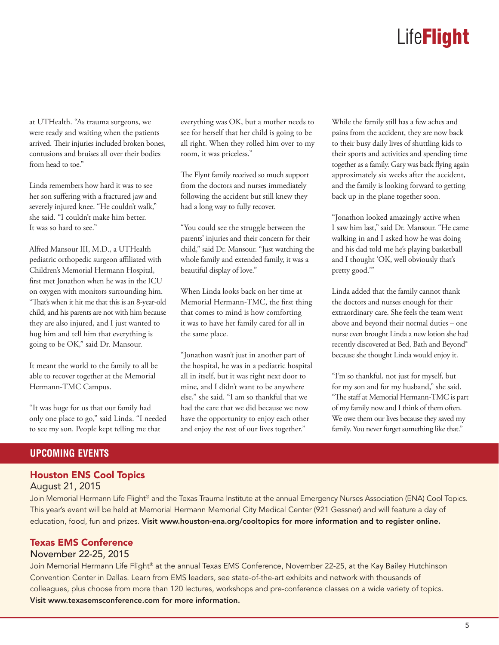at UTHealth. "As trauma surgeons, we were ready and waiting when the patients arrived. Their injuries included broken bones, contusions and bruises all over their bodies from head to toe."

Linda remembers how hard it was to see her son suffering with a fractured jaw and severely injured knee. "He couldn't walk," she said. "I couldn't make him better. It was so hard to see."

Alfred Mansour III, M.D., a UTHealth pediatric orthopedic surgeon affiliated with Children's Memorial Hermann Hospital, first met Jonathon when he was in the ICU on oxygen with monitors surrounding him. "That's when it hit me that this is an 8-year-old child, and his parents are not with him because they are also injured, and I just wanted to hug him and tell him that everything is going to be OK," said Dr. Mansour.

It meant the world to the family to all be able to recover together at the Memorial Hermann-TMC Campus.

"It was huge for us that our family had only one place to go," said Linda. "I needed to see my son. People kept telling me that

everything was OK, but a mother needs to see for herself that her child is going to be all right. When they rolled him over to my room, it was priceless."

The Flynt family received so much support from the doctors and nurses immediately following the accident but still knew they had a long way to fully recover.

"You could see the struggle between the parents' injuries and their concern for their child," said Dr. Mansour. "Just watching the whole family and extended family, it was a beautiful display of love."

When Linda looks back on her time at Memorial Hermann-TMC, the first thing that comes to mind is how comforting it was to have her family cared for all in the same place.

"Jonathon wasn't just in another part of the hospital, he was in a pediatric hospital all in itself, but it was right next door to mine, and I didn't want to be anywhere else," she said. "I am so thankful that we had the care that we did because we now have the opportunity to enjoy each other and enjoy the rest of our lives together."

While the family still has a few aches and pains from the accident, they are now back to their busy daily lives of shuttling kids to their sports and activities and spending time together as a family. Gary was back flying again approximately six weeks after the accident, and the family is looking forward to getting back up in the plane together soon.

"Jonathon looked amazingly active when I saw him last," said Dr. Mansour. "He came walking in and I asked how he was doing and his dad told me he's playing basketball and I thought 'OK, well obviously that's pretty good.'"

Linda added that the family cannot thank the doctors and nurses enough for their extraordinary care. She feels the team went above and beyond their normal duties – one nurse even brought Linda a new lotion she had recently discovered at Bed, Bath and Beyond® because she thought Linda would enjoy it.

"I'm so thankful, not just for myself, but for my son and for my husband," she said. "The staff at Memorial Hermann-TMC is part of my family now and I think of them often. We owe them our lives because they saved my family. You never forget something like that."

#### **UPCOMING EVENTS**

#### Houston ENS Cool Topics August 21, 2015

Join Memorial Hermann Life Flight® and the Texas Trauma Institute at the annual Emergency Nurses Association (ENA) Cool Topics. This year's event will be held at Memorial Hermann Memorial City Medical Center (921 Gessner) and will feature a day of education, food, fun and prizes. Visit www.houston-ena.org/cooltopics for more information and to register online.

### Texas EMS Conference

#### November 22-25, 2015

Join Memorial Hermann Life Flight® at the annual Texas EMS Conference, November 22-25, at the Kay Bailey Hutchinson Convention Center in Dallas. Learn from EMS leaders, see state-of-the-art exhibits and network with thousands of colleagues, plus choose from more than 120 lectures, workshops and pre-conference classes on a wide variety of topics. Visit www.texasemsconference.com for more information.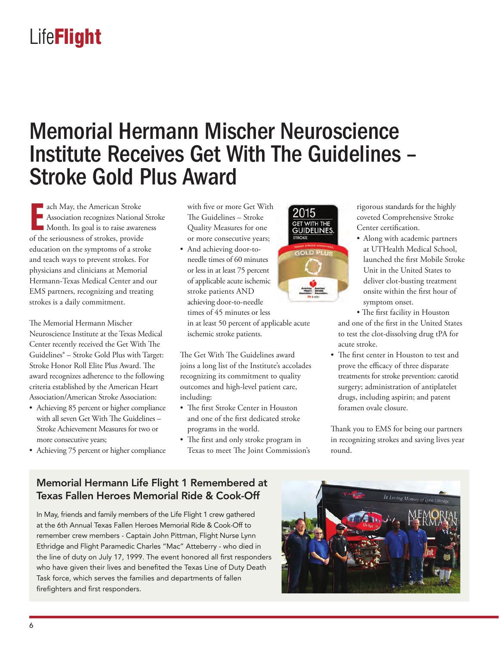### Memorial Hermann Mischer Neuroscience Institute Receives Get With The Guidelines – Stroke Gold Plus Award

**Exercise American Stroke**<br> **E** Association recognizes National<br> **EXERCISE MODEL MODEL MODEL MODEL MODEL STROKER Association recognizes National Stroke** Month. Its goal is to raise awareness of the seriousness of strokes, provide education on the symptoms of a stroke and teach ways to prevent strokes. For physicians and clinicians at Memorial Hermann-Texas Medical Center and our EMS partners, recognizing and treating strokes is a daily commitment.

The Memorial Hermann Mischer Neuroscience Institute at the Texas Medical Center recently received the Get With The Guidelines® – Stroke Gold Plus with Target: Stroke Honor Roll Elite Plus Award. The award recognizes adherence to the following criteria established by the American Heart Association/American Stroke Association:

- Achieving 85 percent or higher compliance with all seven Get With The Guidelines – Stroke Achievement Measures for two or more consecutive years;
- Achieving 75 percent or higher compliance

with five or more Get With The Guidelines – Stroke Quality Measures for one or more consecutive years;

• And achieving door-toneedle times of 60 minutes or less in at least 75 percent of applicable acute ischemic stroke patients AND achieving door-to-needle times of 45 minutes or less in at least 50 percent of applicable acute ischemic stroke patients.

The Get With The Guidelines award joins a long list of the Institute's accolades recognizing its commitment to quality outcomes and high-level patient care, including:

- The first Stroke Center in Houston and one of the first dedicated stroke programs in the world.
- The first and only stroke program in Texas to meet The Joint Commission's



rigorous standards for the highly coveted Comprehensive Stroke Center certification.

• Along with academic partners at UTHealth Medical School, launched the first Mobile Stroke Unit in the United States to deliver clot-busting treatment onsite within the first hour of symptom onset.

• The first facility in Houston and one of the first in the United States to test the clot-dissolving drug tPA for acute stroke.

• The first center in Houston to test and prove the efficacy of three disparate treatments for stroke prevention: carotid surgery; administration of antiplatelet drugs, including aspirin; and patent foramen ovale closure.

Thank you to EMS for being our partners in recognizing strokes and saving lives year round.

### Memorial Hermann Life Flight 1 Remembered at Texas Fallen Heroes Memorial Ride & Cook-Off

In May, friends and family members of the Life Flight 1 crew gathered at the 6th Annual Texas Fallen Heroes Memorial Ride & Cook-Off to remember crew members - Captain John Pittman, Flight Nurse Lynn Ethridge and Flight Paramedic Charles "Mac" Atteberry - who died in the line of duty on July 17, 1999. The event honored all first responders who have given their lives and benefited the Texas Line of Duty Death Task force, which serves the families and departments of fallen firefighters and first responders.

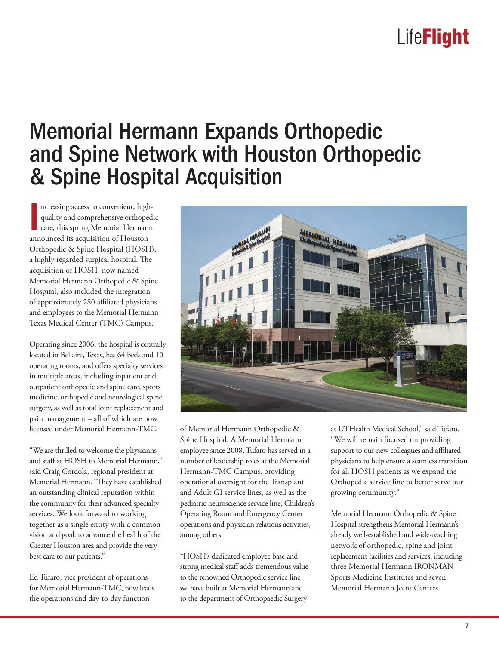### Memorial Hermann Expands Orthopedic and Spine Network with Houston Orthopedic & Spine Hospital Acquisition

Increasing access to convenient, high<br>quality and comprehensive orthoped<br>care, this spring Memorial Hermann<br>announced its acquisition of Houston ncreasing access to convenient, highquality and comprehensive orthopedic care, this spring Memorial Hermann Orthopedic & Spine Hospital (HOSH), a highly regarded surgical hospital. The acquisition of HOSH, now named Memorial Hermann Orthopedic & Spine Hospital, also included the integration of approximately 280 affiliated physicians and employees to the Memorial Hermann-Texas Medical Center (TMC) Campus.

Operating since 2006, the hospital is centrally located in Bellaire, Texas, has 64 beds and 10 operating rooms, and offers specialty services in multiple areas, including inpatient and outpatient orthopedic and spine care, sports medicine, orthopedic and neurological spine surgery, as well as total joint replacement and pain management – all of which are now licensed under Memorial Hermann-TMC.

"We are thrilled to welcome the physicians and staff at HOSH to Memorial Hermann," said Craig Cordola, regional president at Memorial Hermann. "They have established an outstanding clinical reputation within the community for their advanced specialty services. We look forward to working together as a single entity with a common vision and goal: to advance the health of the Greater Houston area and provide the very best care to our patients."

Ed Tufaro, vice president of operations for Memorial Hermann-TMC, now leads the operations and day-to-day function



of Memorial Hermann Orthopedic & Spine Hospital. A Memorial Hermann employee since 2008, Tufaro has served in a number of leadership roles at the Memorial Hermann-TMC Campus, providing operational oversight for the Transplant and Adult GI service lines, as well as the pediatric neuroscience service line, Children's Operating Room and Emergency Center operations and physician relations activities, among others.

"HOSH's dedicated employee base and strong medical staff adds tremendous value to the renowned Orthopedic service line we have built at Memorial Hermann and to the department of Orthopaedic Surgery

at UTHealth Medical School," said Tufaro. "We will remain focused on providing support to our new colleagues and affiliated physicians to help ensure a seamless transition for all HOSH patients as we expand the Orthopedic service line to better serve our growing community."

Memorial Hermann Orthopedic & Spine Hospital strengthens Memorial Hermann's already well-established and wide-reaching network of orthopedic, spine and joint replacement facilities and services, including three Memorial Hermann IRONMAN Sports Medicine Institutes and seven Memorial Hermann Joint Centers.